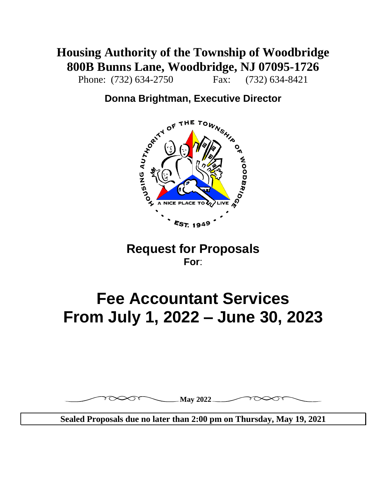### **Housing Authority of the Township of Woodbridge 800B Bunns Lane, Woodbridge, NJ 07095-1726**

Phone: (732) 634-2750 Fax: (732) 634-8421

### **Donna Brightman, Executive Director**



### **Request for Proposals For**:

# **Fee Accountant Services From July 1, 2022 – June 30, 2023**



**Sealed Proposals due no later than 2:00 pm on Thursday, May 19, 2021**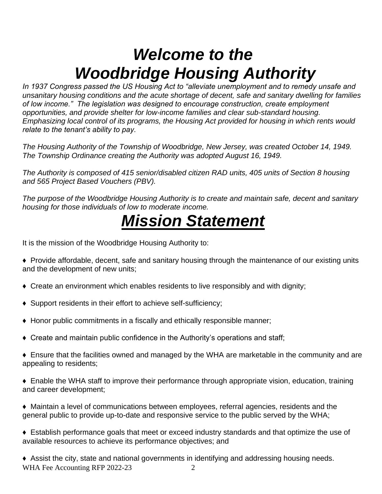# *Welcome to the Woodbridge Housing Authority*

*In 1937 Congress passed the US Housing Act to "alleviate unemployment and to remedy unsafe and unsanitary housing conditions and the acute shortage of decent, safe and sanitary dwelling for families of low income." The legislation was designed to encourage construction, create employment opportunities, and provide shelter for low-income families and clear sub-standard housing. Emphasizing local control of its programs, the Housing Act provided for housing in which rents would relate to the tenant's ability to pay.*

*The Housing Authority of the Township of Woodbridge, New Jersey, was created October 14, 1949. The Township Ordinance creating the Authority was adopted August 16, 1949.*

*The Authority is composed of 415 senior/disabled citizen RAD units, 405 units of Section 8 housing and 565 Project Based Vouchers (PBV).*

*The purpose of the Woodbridge Housing Authority is to create and maintain safe, decent and sanitary housing for those individuals of low to moderate income.*

# *Mission Statement*

It is the mission of the Woodbridge Housing Authority to:

- ♦ Provide affordable, decent, safe and sanitary housing through the maintenance of our existing units and the development of new units;
- ♦ Create an environment which enables residents to live responsibly and with dignity;
- ♦ Support residents in their effort to achieve self-sufficiency;
- ♦ Honor public commitments in a fiscally and ethically responsible manner;
- $\triangle$  Create and maintain public confidence in the Authority's operations and staff;
- ♦ Ensure that the facilities owned and managed by the WHA are marketable in the community and are appealing to residents;
- ♦ Enable the WHA staff to improve their performance through appropriate vision, education, training and career development;
- ♦ Maintain a level of communications between employees, referral agencies, residents and the general public to provide up-to-date and responsive service to the public served by the WHA;
- ♦ Establish performance goals that meet or exceed industry standards and that optimize the use of available resources to achieve its performance objectives; and

WHA Fee Accounting RFP 2022-23 2 ♦ Assist the city, state and national governments in identifying and addressing housing needs.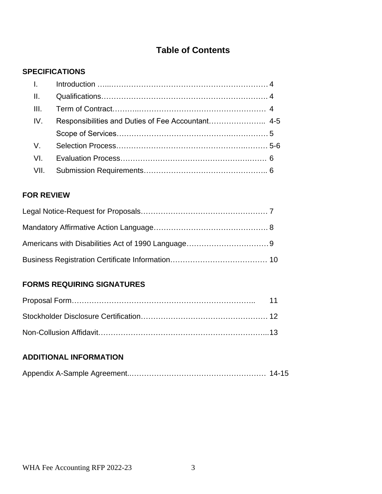### **Table of Contents**

#### **SPECIFICATIONS**

| IV. | Responsibilities and Duties of Fee Accountant 4-5 |  |
|-----|---------------------------------------------------|--|
|     |                                                   |  |
|     |                                                   |  |
|     |                                                   |  |
|     |                                                   |  |

#### **FOR REVIEW**

#### **FORMS REQUIRING SIGNATURES**

#### **ADDITIONAL INFORMATION**

|--|--|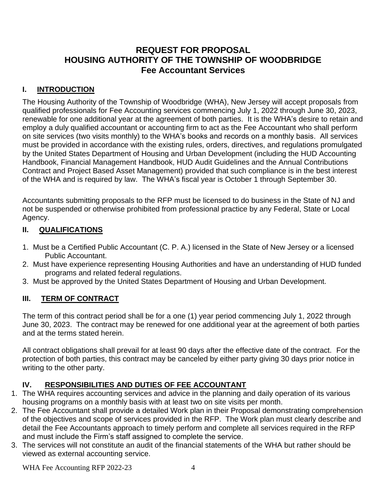#### **REQUEST FOR PROPOSAL HOUSING AUTHORITY OF THE TOWNSHIP OF WOODBRIDGE Fee Accountant Services**

#### **I. INTRODUCTION**

The Housing Authority of the Township of Woodbridge (WHA), New Jersey will accept proposals from qualified professionals for Fee Accounting services commencing July 1, 2022 through June 30, 2023, renewable for one additional year at the agreement of both parties. It is the WHA's desire to retain and employ a duly qualified accountant or accounting firm to act as the Fee Accountant who shall perform on site services (two visits monthly) to the WHA's books and records on a monthly basis. All services must be provided in accordance with the existing rules, orders, directives, and regulations promulgated by the United States Department of Housing and Urban Development (including the HUD Accounting Handbook, Financial Management Handbook, HUD Audit Guidelines and the Annual Contributions Contract and Project Based Asset Management) provided that such compliance is in the best interest of the WHA and is required by law. The WHA's fiscal year is October 1 through September 30.

Accountants submitting proposals to the RFP must be licensed to do business in the State of NJ and not be suspended or otherwise prohibited from professional practice by any Federal, State or Local Agency.

#### **II. QUALIFICATIONS**

- 1. Must be a Certified Public Accountant (C. P. A.) licensed in the State of New Jersey or a licensed Public Accountant.
- 2. Must have experience representing Housing Authorities and have an understanding of HUD funded programs and related federal regulations.
- 3. Must be approved by the United States Department of Housing and Urban Development.

#### **III. TERM OF CONTRACT**

The term of this contract period shall be for a one (1) year period commencing July 1, 2022 through June 30, 2023. The contract may be renewed for one additional year at the agreement of both parties and at the terms stated herein.

All contract obligations shall prevail for at least 90 days after the effective date of the contract. For the protection of both parties, this contract may be canceled by either party giving 30 days prior notice in writing to the other party.

#### **IV. RESPONSIBILITIES AND DUTIES OF FEE ACCOUNTANT**

- 1. The WHA requires accounting services and advice in the planning and daily operation of its various housing programs on a monthly basis with at least two on site visits per month.
- 2. The Fee Accountant shall provide a detailed Work plan in their Proposal demonstrating comprehension of the objectives and scope of services provided in the RFP. The Work plan must clearly describe and detail the Fee Accountants approach to timely perform and complete all services required in the RFP and must include the Firm's staff assigned to complete the service.
- 3. The services will not constitute an audit of the financial statements of the WHA but rather should be viewed as external accounting service.

WHA Fee Accounting RFP 2022-23 4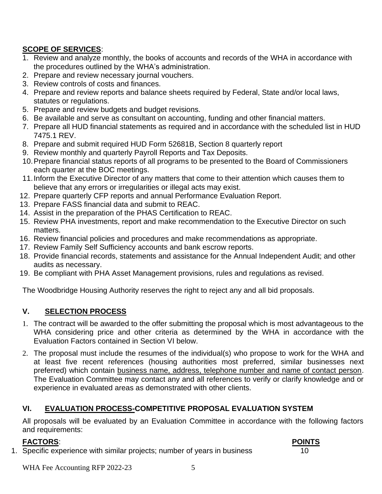#### **SCOPE OF SERVICES**:

- 1. Review and analyze monthly, the books of accounts and records of the WHA in accordance with the procedures outlined by the WHA's administration.
- 2. Prepare and review necessary journal vouchers.
- 3. Review controls of costs and finances.
- 4. Prepare and review reports and balance sheets required by Federal, State and/or local laws, statutes or regulations.
- 5. Prepare and review budgets and budget revisions.
- 6. Be available and serve as consultant on accounting, funding and other financial matters.
- 7. Prepare all HUD financial statements as required and in accordance with the scheduled list in HUD 7475.1 REV.
- 8. Prepare and submit required HUD Form 52681B, Section 8 quarterly report
- 9. Review monthly and quarterly Payroll Reports and Tax Deposits.
- 10.Prepare financial status reports of all programs to be presented to the Board of Commissioners each quarter at the BOC meetings.
- 11.Inform the Executive Director of any matters that come to their attention which causes them to believe that any errors or irregularities or illegal acts may exist.
- 12. Prepare quarterly CFP reports and annual Performance Evaluation Report.
- 13. Prepare FASS financial data and submit to REAC.
- 14. Assist in the preparation of the PHAS Certification to REAC.
- 15. Review PHA investments, report and make recommendation to the Executive Director on such matters.
- 16. Review financial policies and procedures and make recommendations as appropriate.
- 17. Review Family Self Sufficiency accounts and bank escrow reports.
- 18. Provide financial records, statements and assistance for the Annual Independent Audit; and other audits as necessary.
- 19. Be compliant with PHA Asset Management provisions, rules and regulations as revised.

The Woodbridge Housing Authority reserves the right to reject any and all bid proposals.

#### **V. SELECTION PROCESS**

- 1. The contract will be awarded to the offer submitting the proposal which is most advantageous to the WHA considering price and other criteria as determined by the WHA in accordance with the Evaluation Factors contained in Section VI below.
- 2. The proposal must include the resumes of the individual(s) who propose to work for the WHA and at least five recent references (housing authorities most preferred, similar businesses next preferred) which contain business name, address, telephone number and name of contact person. The Evaluation Committee may contact any and all references to verify or clarify knowledge and or experience in evaluated areas as demonstrated with other clients.

#### **VI. EVALUATION PROCESS-COMPETITIVE PROPOSAL EVALUATION SYSTEM**

All proposals will be evaluated by an Evaluation Committee in accordance with the following factors and requirements:

#### **FACTORS**: **POINTS**

1. Specific experience with similar projects; number of years in business 10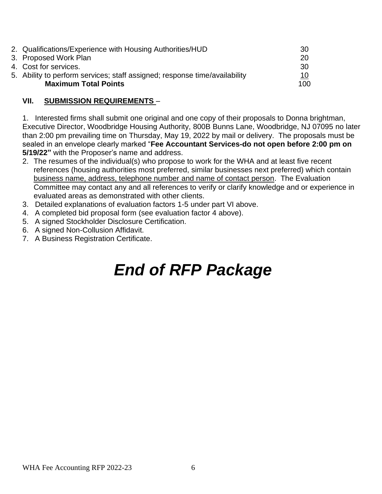| 2. Qualifications/Experience with Housing Authorities/HUD                  | -30        |
|----------------------------------------------------------------------------|------------|
| 3. Proposed Work Plan                                                      | 20         |
| 4. Cost for services.                                                      | -30        |
| 5. Ability to perform services; staff assigned; response time/availability | <u> 10</u> |
| <b>Maximum Total Points</b>                                                | 100        |
|                                                                            |            |

#### **VII. SUBMISSION REQUIREMENTS** –

1. Interested firms shall submit one original and one copy of their proposals to Donna brightman, Executive Director, Woodbridge Housing Authority, 800B Bunns Lane, Woodbridge, NJ 07095 no later than 2:00 pm prevailing time on Thursday, May 19, 2022 by mail or delivery. The proposals must be sealed in an envelope clearly marked "**Fee Accountant Services-do not open before 2:00 pm on 5/19/22"** with the Proposer's name and address.

- 2. The resumes of the individual(s) who propose to work for the WHA and at least five recent references (housing authorities most preferred, similar businesses next preferred) which contain business name, address, telephone number and name of contact person. The Evaluation Committee may contact any and all references to verify or clarify knowledge and or experience in evaluated areas as demonstrated with other clients.
- 3. Detailed explanations of evaluation factors 1-5 under part VI above.
- 4. A completed bid proposal form (see evaluation factor 4 above).
- 5. A signed Stockholder Disclosure Certification.
- 6. A signed Non-Collusion Affidavit.
- 7. A Business Registration Certificate.

# *End of RFP Package*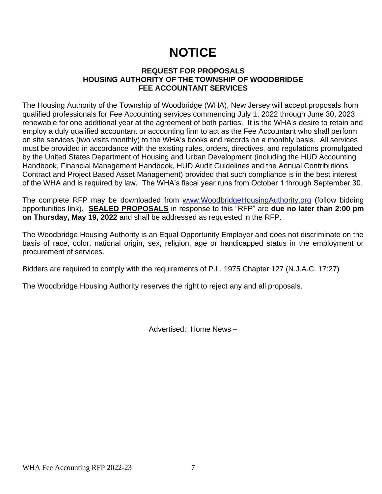## **NOTICE**

#### **REQUEST FOR PROPOSALS HOUSING AUTHORITY OF THE TOWNSHIP OF WOODBRIDGE FEE ACCOUNTANT SERVICES**

The Housing Authority of the Township of Woodbridge (WHA), New Jersey will accept proposals from qualified professionals for Fee Accounting services commencing July 1, 2022 through June 30, 2023, renewable for one additional year at the agreement of both parties. It is the WHA's desire to retain and employ a duly qualified accountant or accounting firm to act as the Fee Accountant who shall perform on site services (two visits monthly) to the WHA's books and records on a monthly basis. All services must be provided in accordance with the existing rules, orders, directives, and regulations promulgated by the United States Department of Housing and Urban Development (including the HUD Accounting Handbook, Financial Management Handbook, HUD Audit Guidelines and the Annual Contributions Contract and Project Based Asset Management) provided that such compliance is in the best interest of the WHA and is required by law. The WHA's fiscal year runs from October 1 through September 30.

The complete RFP may be downloaded from [www.WoodbridgeHousingAuthority.org](http://www.woodbridgehousingauthority.org/) (follow bidding opportunities link). **SEALED PROPOSALS** in response to this "RFP" are **due no later than 2:00 pm on Thursday, May 19, 2022** and shall be addressed as requested in the RFP.

The Woodbridge Housing Authority is an Equal Opportunity Employer and does not discriminate on the basis of race, color, national origin, sex, religion, age or handicapped status in the employment or procurement of services.

Bidders are required to comply with the requirements of P.L. 1975 Chapter 127 (N.J.A.C. 17:27)

The Woodbridge Housing Authority reserves the right to reject any and all proposals.

Advertised: Home News –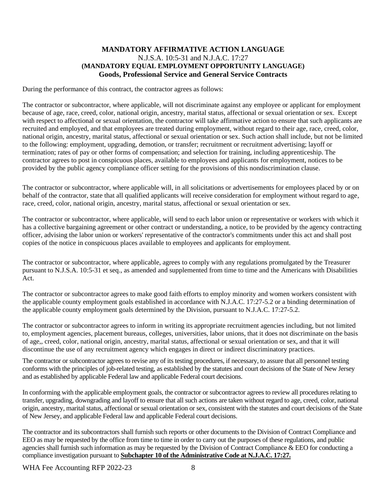#### **MANDATORY AFFIRMATIVE ACTION LANGUAGE** N.J.S.A. 10:5-31 and N.J.A.C. 17:27 **(MANDATORY EQUAL EMPLOYMENT OPPORTUNITY LANGUAGE) Goods, Professional Service and General Service Contracts**

During the performance of this contract, the contractor agrees as follows:

The contractor or subcontractor, where applicable, will not discriminate against any employee or applicant for employment because of age, race, creed, color, national origin, ancestry, marital status, affectional or sexual orientation or sex. Except with respect to affectional or sexual orientation, the contractor will take affirmative action to ensure that such applicants are recruited and employed, and that employees are treated during employment, without regard to their age, race, creed, color, national origin, ancestry, marital status, affectional or sexual orientation or sex. Such action shall include, but not be limited to the following: employment, upgrading, demotion, or transfer; recruitment or recruitment advertising; layoff or termination; rates of pay or other forms of compensation; and selection for training, including apprenticeship. The contractor agrees to post in conspicuous places, available to employees and applicants for employment, notices to be provided by the public agency compliance officer setting for the provisions of this nondiscrimination clause.

The contractor or subcontractor, where applicable will, in all solicitations or advertisements for employees placed by or on behalf of the contractor, state that all qualified applicants will receive consideration for employment without regard to age, race, creed, color, national origin, ancestry, marital status, affectional or sexual orientation or sex.

The contractor or subcontractor, where applicable, will send to each labor union or representative or workers with which it has a collective bargaining agreement or other contract or understanding, a notice, to be provided by the agency contracting officer, advising the labor union or workers' representative of the contractor's commitments under this act and shall post copies of the notice in conspicuous places available to employees and applicants for employment.

The contractor or subcontractor, where applicable, agrees to comply with any regulations promulgated by the Treasurer pursuant to N.J.S.A. 10:5-31 et seq., as amended and supplemented from time to time and the Americans with Disabilities Act.

The contractor or subcontractor agrees to make good faith efforts to employ minority and women workers consistent with the applicable county employment goals established in accordance with N.J.A.C. 17:27-5.2 or a binding determination of the applicable county employment goals determined by the Division, pursuant to N.J.A.C. 17:27-5.2.

The contractor or subcontractor agrees to inform in writing its appropriate recruitment agencies including, but not limited to, employment agencies, placement bureaus, colleges, universities, labor unions, that it does not discriminate on the basis of age,, creed, color, national origin, ancestry, marital status, affectional or sexual orientation or sex, and that it will discontinue the use of any recruitment agency which engages in direct or indirect discriminatory practices.

The contractor or subcontractor agrees to revise any of its testing procedures, if necessary, to assure that all personnel testing conforms with the principles of job-related testing, as established by the statutes and court decisions of the State of New Jersey and as established by applicable Federal law and applicable Federal court decisions.

In conforming with the applicable employment goals, the contractor or subcontractor agrees to review all procedures relating to transfer, upgrading, downgrading and layoff to ensure that all such actions are taken without regard to age, creed, color, national origin, ancestry, marital status, affectional or sexual orientation or sex, consistent with the statutes and court decisions of the State of New Jersey, and applicable Federal law and applicable Federal court decisions.

The contractor and its subcontractors shall furnish such reports or other documents to the Division of Contract Compliance and EEO as may be requested by the office from time to time in order to carry out the purposes of these regulations, and public agencies shall furnish such information as may be requested by the Division of Contract Compliance & EEO for conducting a compliance investigation pursuant to **Subchapter 10 of the Administrative Code at N.J.A.C. 17:27.**

WHA Fee Accounting RFP 2022-23 8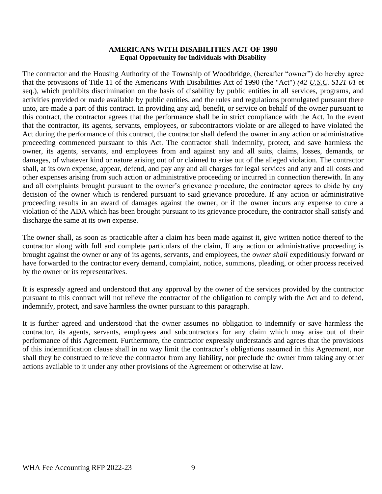#### **AMERICANS WITH DISABILITIES ACT OF 1990 Equal Opportunity for Individuals with Disability**

The contractor and the Housing Authority of the Township of Woodbridge, (hereafter "owner") do hereby agree that the provisions of Title 11 of the Americans With Disabilities Act of 1990 (the "Act") *(42 U.S.C. S121 01* et seq.), which prohibits discrimination on the basis of disability by public entities in all services, programs, and activities provided or made available by public entities, and the rules and regulations promulgated pursuant there unto, are made a part of this contract. In providing any aid, benefit, or service on behalf of the owner pursuant to this contract, the contractor agrees that the performance shall be in strict compliance with the Act. In the event that the contractor, its agents, servants, employees, or subcontractors violate or are alleged to have violated the Act during the performance of this contract, the contractor shall defend the owner in any action or administrative proceeding commenced pursuant to this Act. The contractor shall indemnify, protect, and save harmless the owner, its agents, servants, and employees from and against any and all suits, claims, losses, demands, or damages, of whatever kind or nature arising out of or claimed to arise out of the alleged violation. The contractor shall, at its own expense, appear, defend, and pay any and all charges for legal services and any and all costs and other expenses arising from such action or administrative proceeding or incurred in connection therewith. In any and all complaints brought pursuant to the owner's grievance procedure, the contractor agrees to abide by any decision of the owner which is rendered pursuant to said grievance procedure. If any action or administrative proceeding results in an award of damages against the owner, or if the owner incurs any expense to cure a violation of the ADA which has been brought pursuant to its grievance procedure, the contractor shall satisfy and discharge the same at its own expense.

The owner shall, as soon as practicable after a claim has been made against it, give written notice thereof to the contractor along with full and complete particulars of the claim, If any action or administrative proceeding is brought against the owner or any of its agents, servants, and employees, the *owner shall* expeditiously forward or have forwarded to the contractor every demand, complaint, notice, summons, pleading, or other process received by the owner or its representatives.

It is expressly agreed and understood that any approval by the owner of the services provided by the contractor pursuant to this contract will not relieve the contractor of the obligation to comply with the Act and to defend, indemnify, protect, and save harmless the owner pursuant to this paragraph.

It is further agreed and understood that the owner assumes no obligation to indemnify or save harmless the contractor, its agents, servants, employees and subcontractors for any claim which may arise out of their performance of this Agreement. Furthermore, the contractor expressly understands and agrees that the provisions of this indemnification clause shall in no way limit the contractor's obligations assumed in this Agreement, nor shall they be construed to relieve the contractor from any liability, nor preclude the owner from taking any other actions available to it under any other provisions of the Agreement or otherwise at law.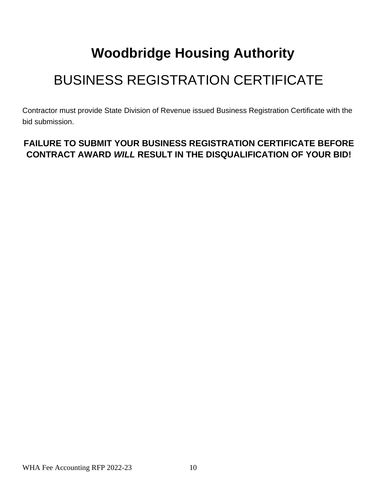# **Woodbridge Housing Authority**

# BUSINESS REGISTRATION CERTIFICATE

Contractor must provide State Division of Revenue issued Business Registration Certificate with the bid submission.

### **FAILURE TO SUBMIT YOUR BUSINESS REGISTRATION CERTIFICATE BEFORE CONTRACT AWARD** *WILL* **RESULT IN THE DISQUALIFICATION OF YOUR BID!**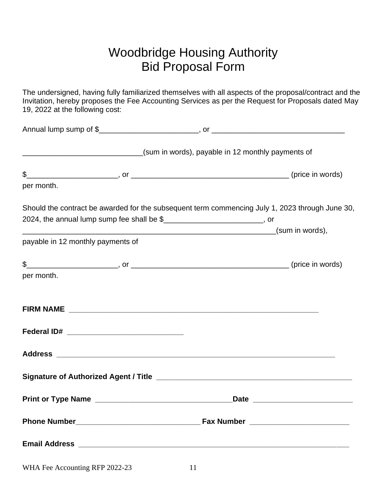### Woodbridge Housing Authority Bid Proposal Form

The undersigned, having fully familiarized themselves with all aspects of the proposal/contract and the Invitation, hereby proposes the Fee Accounting Services as per the Request for Proposals dated May 19, 2022 at the following cost:

| _____________________________________(sum in words), payable in 12 monthly payments of          |  |
|-------------------------------------------------------------------------------------------------|--|
|                                                                                                 |  |
| per month.                                                                                      |  |
| Should the contract be awarded for the subsequent term commencing July 1, 2023 through June 30, |  |
| 2024, the annual lump sump fee shall be \$                                                      |  |
| payable in 12 monthly payments of                                                               |  |
| $\frac{1}{2}$ (price in words)<br>per month.                                                    |  |
|                                                                                                 |  |
|                                                                                                 |  |
|                                                                                                 |  |
|                                                                                                 |  |
|                                                                                                 |  |
|                                                                                                 |  |
|                                                                                                 |  |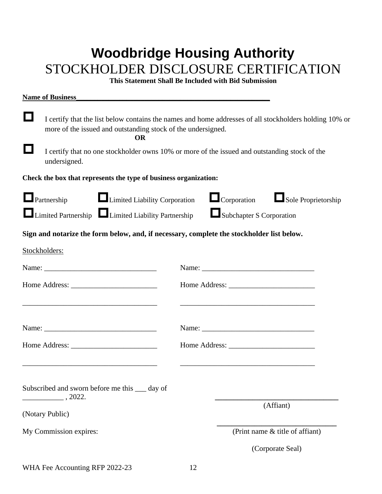## **Woodbridge Housing Authority** STOCKHOLDER DISCLOSURE CERTIFICATION

**This Statement Shall Be Included with Bid Submission**

| <b>Name of Business</b>                                                                                                                                                             |                                                                       |  |
|-------------------------------------------------------------------------------------------------------------------------------------------------------------------------------------|-----------------------------------------------------------------------|--|
| I certify that the list below contains the names and home addresses of all stockholders holding 10% or<br>more of the issued and outstanding stock of the undersigned.<br><b>OR</b> |                                                                       |  |
| I certify that no one stockholder owns 10% or more of the issued and outstanding stock of the<br>undersigned.                                                                       |                                                                       |  |
| Check the box that represents the type of business organization:                                                                                                                    |                                                                       |  |
| Limited Liability Corporation<br>$\Box$ Partnership<br>Limited Partnership Limited Liability Partnership                                                                            | $\Box$ Corporation<br>Sole Proprietorship<br>Subchapter S Corporation |  |
| Sign and notarize the form below, and, if necessary, complete the stockholder list below.                                                                                           |                                                                       |  |
| Stockholders:                                                                                                                                                                       |                                                                       |  |
|                                                                                                                                                                                     |                                                                       |  |
|                                                                                                                                                                                     |                                                                       |  |
|                                                                                                                                                                                     |                                                                       |  |
|                                                                                                                                                                                     |                                                                       |  |
| Subscribed and sworn before me this ____ day of<br>$\_$ , 2022.                                                                                                                     | (Affiant)                                                             |  |
| (Notary Public)                                                                                                                                                                     |                                                                       |  |
| My Commission expires:                                                                                                                                                              | (Print name & title of affiant)                                       |  |
|                                                                                                                                                                                     | (Corporate Seal)                                                      |  |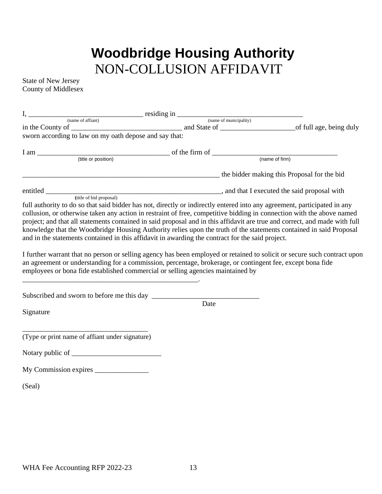## **Woodbridge Housing Authority** NON-COLLUSION AFFIDAVIT

State of New Jersey County of Middlesex

| $I, \underline{\hspace{2cm}}$ residing in $\underline{\hspace{2cm}}$ (name of affiant) (name of municipality)                                                                                                                                                                                                                                                                                                                                                                                                                                                                                                                                                                                                                                                                                                                                                                                                                          |                                             | <u> 1980 - John Stein, amerikansk politiker (</u> |
|----------------------------------------------------------------------------------------------------------------------------------------------------------------------------------------------------------------------------------------------------------------------------------------------------------------------------------------------------------------------------------------------------------------------------------------------------------------------------------------------------------------------------------------------------------------------------------------------------------------------------------------------------------------------------------------------------------------------------------------------------------------------------------------------------------------------------------------------------------------------------------------------------------------------------------------|---------------------------------------------|---------------------------------------------------|
|                                                                                                                                                                                                                                                                                                                                                                                                                                                                                                                                                                                                                                                                                                                                                                                                                                                                                                                                        |                                             |                                                   |
| sworn according to law on my oath depose and say that:                                                                                                                                                                                                                                                                                                                                                                                                                                                                                                                                                                                                                                                                                                                                                                                                                                                                                 |                                             |                                                   |
| $I am$ (title or position) (title or position) of the firm of $\frac{1}{(name of firm)}$                                                                                                                                                                                                                                                                                                                                                                                                                                                                                                                                                                                                                                                                                                                                                                                                                                               |                                             |                                                   |
|                                                                                                                                                                                                                                                                                                                                                                                                                                                                                                                                                                                                                                                                                                                                                                                                                                                                                                                                        |                                             |                                                   |
|                                                                                                                                                                                                                                                                                                                                                                                                                                                                                                                                                                                                                                                                                                                                                                                                                                                                                                                                        | the bidder making this Proposal for the bid |                                                   |
|                                                                                                                                                                                                                                                                                                                                                                                                                                                                                                                                                                                                                                                                                                                                                                                                                                                                                                                                        |                                             |                                                   |
| full authority to do so that said bidder has not, directly or indirectly entered into any agreement, participated in any<br>collusion, or otherwise taken any action in restraint of free, competitive bidding in connection with the above named<br>project; and that all statements contained in said proposal and in this affidavit are true and correct, and made with full<br>knowledge that the Woodbridge Housing Authority relies upon the truth of the statements contained in said Proposal<br>and in the statements contained in this affidavit in awarding the contract for the said project.<br>I further warrant that no person or selling agency has been employed or retained to solicit or secure such contract upon<br>an agreement or understanding for a commission, percentage, brokerage, or contingent fee, except bona fide<br>employees or bona fide established commercial or selling agencies maintained by |                                             |                                                   |
|                                                                                                                                                                                                                                                                                                                                                                                                                                                                                                                                                                                                                                                                                                                                                                                                                                                                                                                                        |                                             |                                                   |
| Signature                                                                                                                                                                                                                                                                                                                                                                                                                                                                                                                                                                                                                                                                                                                                                                                                                                                                                                                              | Date                                        |                                                   |
| (Type or print name of affiant under signature)                                                                                                                                                                                                                                                                                                                                                                                                                                                                                                                                                                                                                                                                                                                                                                                                                                                                                        |                                             |                                                   |
|                                                                                                                                                                                                                                                                                                                                                                                                                                                                                                                                                                                                                                                                                                                                                                                                                                                                                                                                        |                                             |                                                   |
|                                                                                                                                                                                                                                                                                                                                                                                                                                                                                                                                                                                                                                                                                                                                                                                                                                                                                                                                        |                                             |                                                   |
| (Seal)                                                                                                                                                                                                                                                                                                                                                                                                                                                                                                                                                                                                                                                                                                                                                                                                                                                                                                                                 |                                             |                                                   |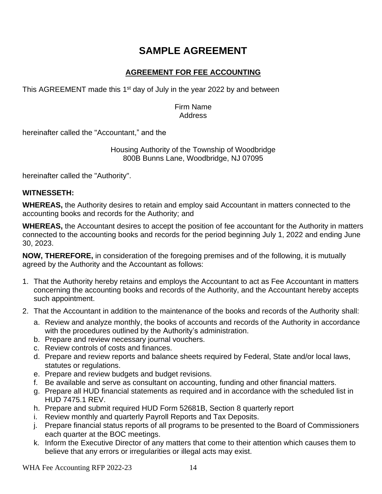### **SAMPLE AGREEMENT**

#### **AGREEMENT FOR FEE ACCOUNTING**

This AGREEMENT made this 1<sup>st</sup> day of July in the year 2022 by and between

#### Firm Name Address

hereinafter called the "Accountant," and the

#### Housing Authority of the Township of Woodbridge 800B Bunns Lane, Woodbridge, NJ 07095

hereinafter called the "Authority".

#### **WITNESSETH:**

**WHEREAS,** the Authority desires to retain and employ said Accountant in matters connected to the accounting books and records for the Authority; and

**WHEREAS,** the Accountant desires to accept the position of fee accountant for the Authority in matters connected to the accounting books and records for the period beginning July 1, 2022 and ending June 30, 2023.

**NOW, THEREFORE,** in consideration of the foregoing premises and of the following, it is mutually agreed by the Authority and the Accountant as follows:

- 1. That the Authority hereby retains and employs the Accountant to act as Fee Accountant in matters concerning the accounting books and records of the Authority, and the Accountant hereby accepts such appointment.
- 2. That the Accountant in addition to the maintenance of the books and records of the Authority shall:
	- a. Review and analyze monthly, the books of accounts and records of the Authority in accordance with the procedures outlined by the Authority's administration.
	- b. Prepare and review necessary journal vouchers.
	- c. Review controls of costs and finances.
	- d. Prepare and review reports and balance sheets required by Federal, State and/or local laws, statutes or regulations.
	- e. Prepare and review budgets and budget revisions.
	- f. Be available and serve as consultant on accounting, funding and other financial matters.
	- g. Prepare all HUD financial statements as required and in accordance with the scheduled list in HUD 7475.1 REV.
	- h. Prepare and submit required HUD Form 52681B, Section 8 quarterly report
	- i. Review monthly and quarterly Payroll Reports and Tax Deposits.
	- j. Prepare financial status reports of all programs to be presented to the Board of Commissioners each quarter at the BOC meetings.
	- k. Inform the Executive Director of any matters that come to their attention which causes them to believe that any errors or irregularities or illegal acts may exist.